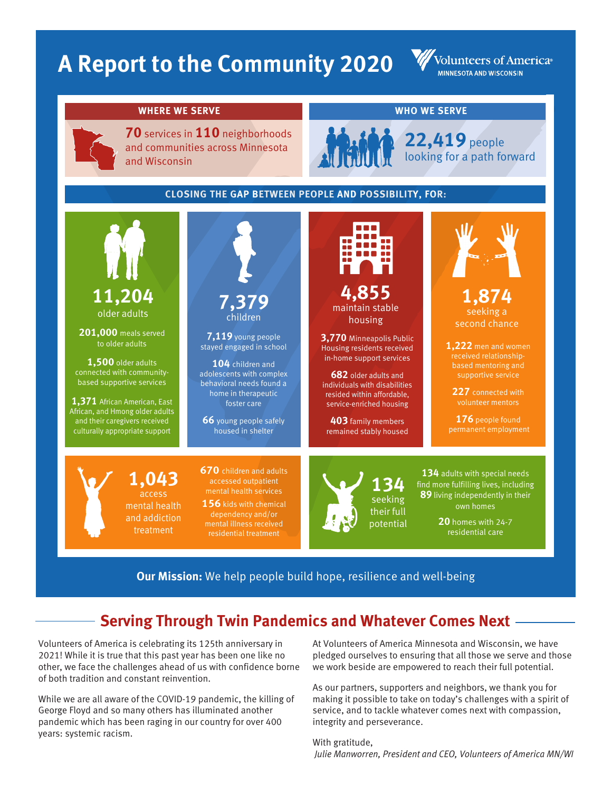# **A Report to the Community 2020**

Volunteers of America® **MINNESOTA AND WISCONSIN** 

#### **WHERE WE SERVE WHO WE SERVE**

**70** services in **110** neighborhoods and communities across Minnesota and Wisconsin



**22,419** people looking for a path forward

### **CLOSING THE GAP BETWEEN PEOPLE AND POSSIBILITY, FOR:**



**Our Mission:** We help people build hope, resilience and well-being

## **Serving Through Twin Pandemics and Whatever Comes Next**

Volunteers of America is celebrating its 125th anniversary in 2021! While it is true that this past year has been one like no other, we face the challenges ahead of us with confidence borne of both tradition and constant reinvention.

While we are all aware of the COVID-19 pandemic, the killing of George Floyd and so many others has illuminated another pandemic which has been raging in our country for over 400 years: systemic racism.

At Volunteers of America Minnesota and Wisconsin, we have pledged ourselves to ensuring that all those we serve and those we work beside are empowered to reach their full potential.

As our partners, supporters and neighbors, we thank you for making it possible to take on today's challenges with a spirit of service, and to tackle whatever comes next with compassion, integrity and perseverance.

With gratitude, *Julie Manworren, President and CEO, Volunteers of America MN/WI*